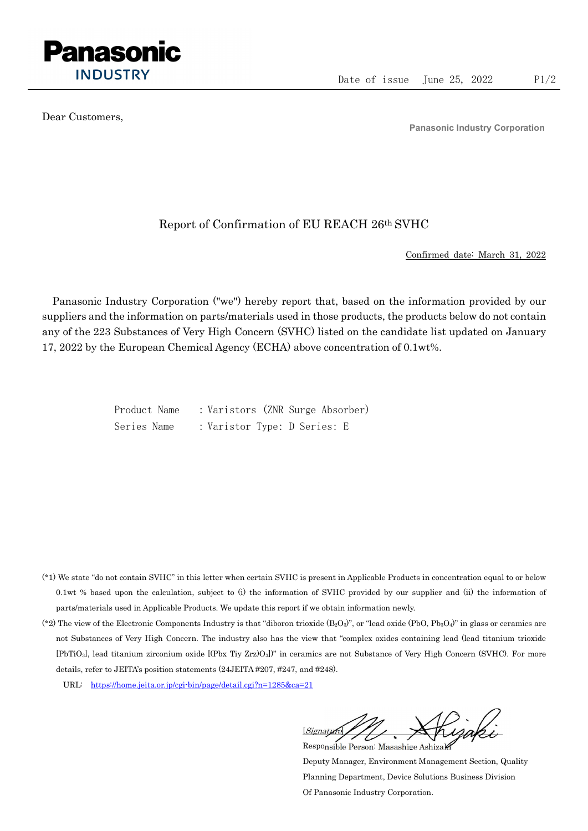

Dear Customers,

Panasonic Industry Corporation

## Report of Confirmation of EU REACH 26th SVHC

Confirmed date: March 31, 2022

Panasonic Industry Corporation ("we") hereby report that, based on the information provided by our suppliers and the information on parts/materials used in those products, the products below do not contain any of the 223 Substances of Very High Concern (SVHC) listed on the candidate list updated on January 17, 2022 by the European Chemical Agency (ECHA) above concentration of 0.1wt%.

> Product Name : Varistors (ZNR Surge Absorber) Series Name : Varistor Type: D Series: E

- (\*1) We state "do not contain SVHC" in this letter when certain SVHC is present in Applicable Products in concentration equal to or below 0.1wt % based upon the calculation, subject to (i) the information of SVHC provided by our supplier and (ii) the information of parts/materials used in Applicable Products. We update this report if we obtain information newly.
- (\*2) The view of the Electronic Components Industry is that "diboron trioxide  $(B_2O_3)$ ", or "lead oxide (PbO, Pb<sub>3</sub>O<sub>4</sub>)" in glass or ceramics are not Substances of Very High Concern. The industry also has the view that "complex oxides containing lead (lead titanium trioxide [PbTiO3], lead titanium zirconium oxide [(Pbx Tiy Zrz)O3])" in ceramics are not Substance of Very High Concern (SVHC). For more details, refer to JEITA's position statements (24JEITA #207, #247, and #248).
	- URL: https://home.jeita.or.jp/cgi-bin/page/detail.cgi?n=1285&ca=21

[Signature] Responsible Person: Masashige Ashizaki

Deputy Manager, Environment Management Section, Quality Planning Department, Device Solutions Business Division Of Panasonic Industry Corporation.